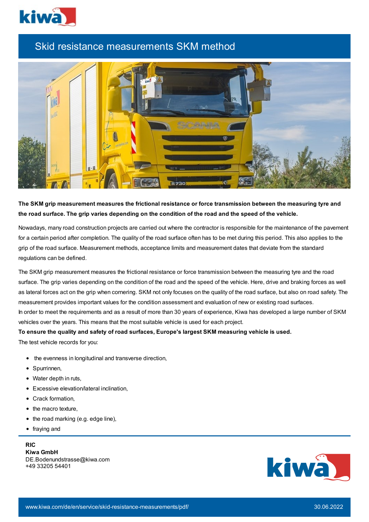

## Skid resistance measurements SKM method



**The SKM grip measurement measures the frictional resistance or force transmission between the measuring tyre and** the road surface. The grip varies depending on the condition of the road and the speed of the vehicle.

Nowadays, many road construction projects are carried out where the contractor is responsible for the maintenance of the pavement for a certain period after completion. The quality of the road surface often has to be met during this period. This also applies to the grip of the road surface. Measurement methods, acceptance limits and measurement dates that deviate from the standard regulations can be defined.

The SKM grip measurement measures the frictional resistance or force transmission between the measuring tyre and the road surface. The grip varies depending on the condition of the road and the speed of the vehicle. Here, drive and braking forces as well as lateral forces act on the grip when cornering. SKM not only focuses on the quality of the road surface, but also on road safety. The measurement provides important values for the condition assessment and evaluation of new or existing road surfaces. In order to meet the requirements and as a result of more than 30 years of experience, Kiwa has developed a large number of SKM vehicles over the years. This means that the most suitable vehicle is used for each project.

## **To ensure the quality and safety of road surfaces, Europe's largest SKM measuring vehicle is used.**

The test vehicle records for you:

- the evenness in longitudinal and transverse direction,
- Spurrinnen,
- Water depth in ruts,
- Excessive elevation/lateral inclination,
- Crack formation.
- the macro texture,
- $\bullet$  the road marking (e.g. edge line),
- fraying and

## **RIC**

**Kiwa GmbH** DE.Bodenundstrasse@kiwa.com +49 33205 54401